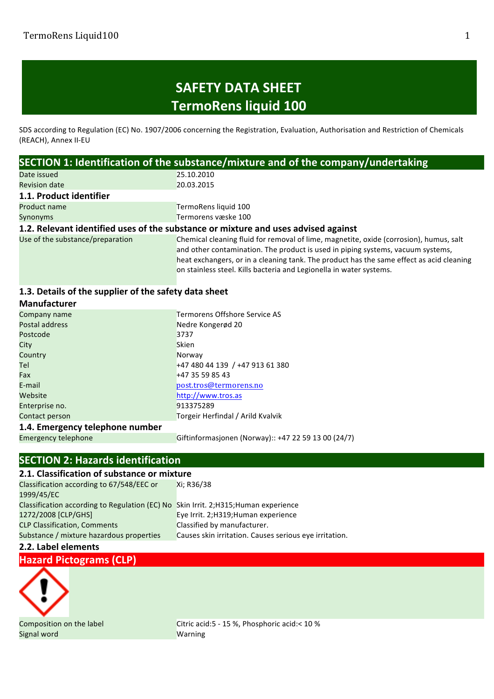## **SAFETY DATA SHEET TermoRens liquid 100**

SDS according to Regulation (EC) No. 1907/2006 concerning the Registration, Evaluation, Authorisation and Restriction of Chemicals (REACH), Annex II-EU

| SECTION 1: Identification of the substance/mixture and of the company/undertaking |                                                                                          |  |
|-----------------------------------------------------------------------------------|------------------------------------------------------------------------------------------|--|
| Date issued                                                                       | 25.10.2010                                                                               |  |
| <b>Revision date</b>                                                              | 20.03.2015                                                                               |  |
| 1.1. Product identifier                                                           |                                                                                          |  |
| Product name                                                                      | TermoRens liquid 100                                                                     |  |
| Synonyms                                                                          | Termorens væske 100                                                                      |  |
|                                                                                   | 1.2. Relevant identified uses of the substance or mixture and uses advised against       |  |
| Use of the substance/preparation                                                  | Chemical cleaning fluid for removal of lime, magnetite, oxide (corrosion), humus, salt   |  |
|                                                                                   | and other contamination. The product is used in piping systems, vacuum systems,          |  |
|                                                                                   | heat exchangers, or in a cleaning tank. The product has the same effect as acid cleaning |  |
|                                                                                   | on stainless steel. Kills bacteria and Legionella in water systems.                      |  |

### 1.3. Details of the supplier of the safety data sheet

| <b>Manufacturer</b>             |                                   |
|---------------------------------|-----------------------------------|
| Company name                    | Termorens Offshore Service AS     |
| Postal address                  | Nedre Kongerød 20                 |
| Postcode                        | 3737                              |
| City                            | Skien                             |
| Country                         | Norway                            |
| Tel                             | +47 480 44 139 / +47 913 61 380   |
| Fax                             | +47 35 59 85 43                   |
| E-mail                          | post.tros@termorens.no            |
| Website                         | http://www.tros.as                |
| Enterprise no.                  | 913375289                         |
| Contact person                  | Torgeir Herfindal / Arild Kvalvik |
| 1.4. Emergency telephone number |                                   |

Emergency telephone Giftinformasjonen (Norway):: +47 22 59 13 00 (24/7)

### **SECTION 2: Hazards identification**

| 2.1. Classification of substance or mixture                                         |                                                        |  |
|-------------------------------------------------------------------------------------|--------------------------------------------------------|--|
| Classification according to 67/548/EEC or                                           | Xi; R36/38                                             |  |
| 1999/45/EC                                                                          |                                                        |  |
| Classification according to Regulation (EC) No Skin Irrit. 2:H315: Human experience |                                                        |  |
| 1272/2008 [CLP/GHS]                                                                 | Eye Irrit. 2; H319; Human experience                   |  |
| <b>CLP Classification, Comments</b>                                                 | Classified by manufacturer.                            |  |
| Substance / mixture hazardous properties                                            | Causes skin irritation. Causes serious eye irritation. |  |

#### **2.2. Label elements**

**Hazard Pictograms (CLP)**



Signal word Warning

Composition on the label Citric acid:5 - 15 %, Phosphoric acid:< 10 %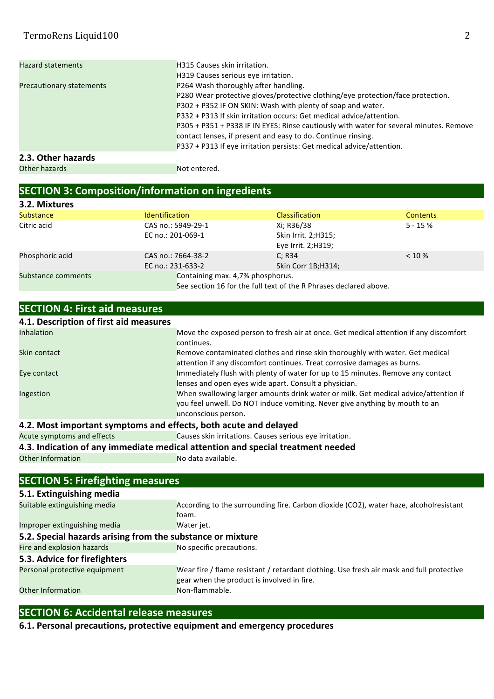| <b>Hazard statements</b>        | <b>H315 Causes skin irritation.</b>                                                    |
|---------------------------------|----------------------------------------------------------------------------------------|
|                                 | H319 Causes serious eye irritation.                                                    |
| <b>Precautionary statements</b> | P264 Wash thoroughly after handling.                                                   |
|                                 | P280 Wear protective gloves/protective clothing/eye protection/face protection.        |
|                                 | P302 + P352 IF ON SKIN: Wash with plenty of soap and water.                            |
|                                 | P332 + P313 If skin irritation occurs: Get medical advice/attention.                   |
|                                 | P305 + P351 + P338 IF IN EYES: Rinse cautiously with water for several minutes. Remove |
|                                 | contact lenses, if present and easy to do. Continue rinsing.                           |
|                                 | P337 + P313 If eye irritation persists: Get medical advice/attention.                  |
| 2.3. Other hazards              |                                                                                        |
| Other hazards                   | Not entered.                                                                           |

# **SECTION 3: Composition/information on ingredients**

| 3.2. Mixtures      |                                  |                                                                   |                 |
|--------------------|----------------------------------|-------------------------------------------------------------------|-----------------|
| <b>Substance</b>   | <b>Identification</b>            | <b>Classification</b>                                             | <b>Contents</b> |
| Citric acid        | CAS no.: 5949-29-1               | Xi; R36/38                                                        | $5 - 15%$       |
|                    | EC no.: 201-069-1                | Skin Irrit. 2; H315;                                              |                 |
|                    |                                  | Eye Irrit. 2; H319;                                               |                 |
| Phosphoric acid    | CAS no.: 7664-38-2               | C: R34                                                            | $< 10 \%$       |
|                    | EC no.: 231-633-2                | Skin Corr 1B; H314;                                               |                 |
| Substance comments | Containing max. 4,7% phosphorus. |                                                                   |                 |
|                    |                                  | See section 16 for the full text of the R Phrases declared above. |                 |

| <b>SECTION 4: First aid measures</b>                             |                                                                                       |  |
|------------------------------------------------------------------|---------------------------------------------------------------------------------------|--|
| 4.1. Description of first aid measures                           |                                                                                       |  |
| <b>Inhalation</b>                                                | Move the exposed person to fresh air at once. Get medical attention if any discomfort |  |
|                                                                  | continues.                                                                            |  |
| Skin contact                                                     | Remove contaminated clothes and rinse skin thoroughly with water. Get medical         |  |
|                                                                  | attention if any discomfort continues. Treat corrosive damages as burns.              |  |
| Eye contact                                                      | Immediately flush with plenty of water for up to 15 minutes. Remove any contact       |  |
|                                                                  | lenses and open eyes wide apart. Consult a physician.                                 |  |
| Ingestion                                                        | When swallowing larger amounts drink water or milk. Get medical advice/attention if   |  |
|                                                                  | you feel unwell. Do NOT induce vomiting. Never give anything by mouth to an           |  |
|                                                                  | unconscious person.                                                                   |  |
| 4.2. Most important symptoms and effects, both acute and delayed |                                                                                       |  |

Acute symptoms and effects Causes skin irritations. Causes serious eye irritation.

**4.3. Indication of any immediate medical attention and special treatment needed Other Information**<br>No data available.

Other Information

| <b>SECTION 5: Firefighting measures</b>                    |                                                                                                                                        |  |
|------------------------------------------------------------|----------------------------------------------------------------------------------------------------------------------------------------|--|
| 5.1. Extinguishing media                                   |                                                                                                                                        |  |
| Suitable extinguishing media                               | According to the surrounding fire. Carbon dioxide (CO2), water haze, alcoholresistant<br>foam.                                         |  |
| Improper extinguishing media                               | Water jet.                                                                                                                             |  |
| 5.2. Special hazards arising from the substance or mixture |                                                                                                                                        |  |
| Fire and explosion hazards                                 | No specific precautions.                                                                                                               |  |
| 5.3. Advice for firefighters                               |                                                                                                                                        |  |
| Personal protective equipment                              | Wear fire / flame resistant / retardant clothing. Use fresh air mask and full protective<br>gear when the product is involved in fire. |  |
| <b>Other Information</b>                                   | Non-flammable.                                                                                                                         |  |

### **SECTION 6: Accidental release measures**

**6.1. Personal precautions, protective equipment and emergency procedures**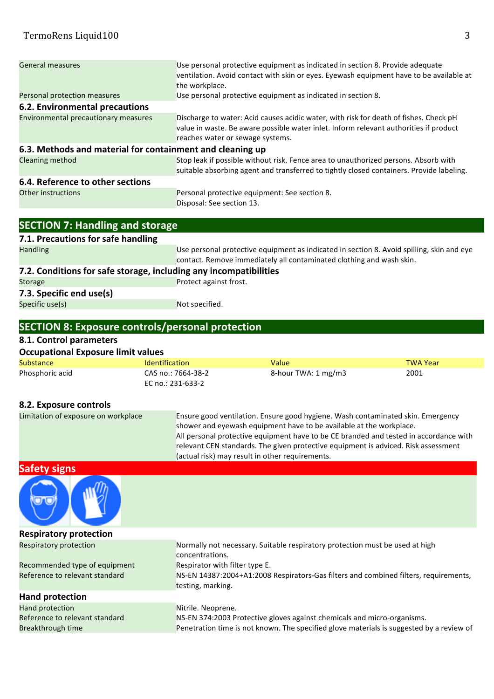| <b>General measures</b>                                   | Use personal protective equipment as indicated in section 8. Provide adequate<br>ventilation. Avoid contact with skin or eyes. Eyewash equipment have to be available at<br>the workplace.                         |
|-----------------------------------------------------------|--------------------------------------------------------------------------------------------------------------------------------------------------------------------------------------------------------------------|
| Personal protection measures                              | Use personal protective equipment as indicated in section 8.                                                                                                                                                       |
| 6.2. Environmental precautions                            |                                                                                                                                                                                                                    |
| Environmental precautionary measures                      | Discharge to water: Acid causes acidic water, with risk for death of fishes. Check pH<br>value in waste. Be aware possible water inlet. Inform relevant authorities if product<br>reaches water or sewage systems. |
| 6.3. Methods and material for containment and cleaning up |                                                                                                                                                                                                                    |
| Cleaning method                                           | Stop leak if possible without risk. Fence area to unauthorized persons. Absorb with<br>suitable absorbing agent and transferred to tightly closed containers. Provide labeling.                                    |
| 6.4. Reference to other sections                          |                                                                                                                                                                                                                    |
| <b>Other instructions</b>                                 | Personal protective equipment: See section 8.<br>Disposal: See section 13.                                                                                                                                         |

| <b>SECTION 7: Handling and storage</b>                            |                                                                                                                                                                   |  |
|-------------------------------------------------------------------|-------------------------------------------------------------------------------------------------------------------------------------------------------------------|--|
| 7.1. Precautions for safe handling                                |                                                                                                                                                                   |  |
| <b>Handling</b>                                                   | Use personal protective equipment as indicated in section 8. Avoid spilling, skin and eye<br>contact. Remove immediately all contaminated clothing and wash skin. |  |
| 7.2. Conditions for safe storage, including any incompatibilities |                                                                                                                                                                   |  |
| <b>Storage</b>                                                    | Protect against frost.                                                                                                                                            |  |
| 7.3. Specific end use(s)                                          |                                                                                                                                                                   |  |
| Specific use(s)                                                   | Not specified.                                                                                                                                                    |  |

### **SECTION 8: Exposure controls/personal protection**

#### **8.1. Control parameters**

| <b>Occupational Exposure limit values</b> |                       |                     |                 |
|-------------------------------------------|-----------------------|---------------------|-----------------|
| Substance                                 | <b>Identification</b> | Value               | <b>TWA Year</b> |
| Phosphoric acid                           | CAS no.: 7664-38-2    | 8-hour TWA: 1 mg/m3 | 2001            |
|                                           | EC no.: 231-633-2     |                     |                 |

#### **8.2. Exposure controls**

| Limitation of exposure on workplace | Ensure good ventilation. Ensure good hygiene. Wash contaminated skin. Emergency       |
|-------------------------------------|---------------------------------------------------------------------------------------|
|                                     | shower and eyewash equipment have to be available at the workplace.                   |
|                                     | All personal protective equipment have to be CE branded and tested in accordance with |
|                                     | relevant CEN standards. The given protective equipment is adviced. Risk assessment    |
|                                     | (actual risk) may result in other requirements.                                       |

**Safety signs**



**Respiratory protection** Respiratory protection Normally not necessary. Suitable respiratory protection must be used at high concentrations. Recommended type of equipment Respirator with filter type E. Reference to relevant standard NS-EN 14387:2004+A1:2008 Respirators-Gas filters and combined filters, requirements, testing, marking. **Hand protection** Hand protection Nitrile. Neoprene. Reference to relevant standard NS-EN 374:2003 Protective gloves against chemicals and micro-organisms. Breakthrough time **Penetration** time is not known. The specified glove materials is suggested by a review of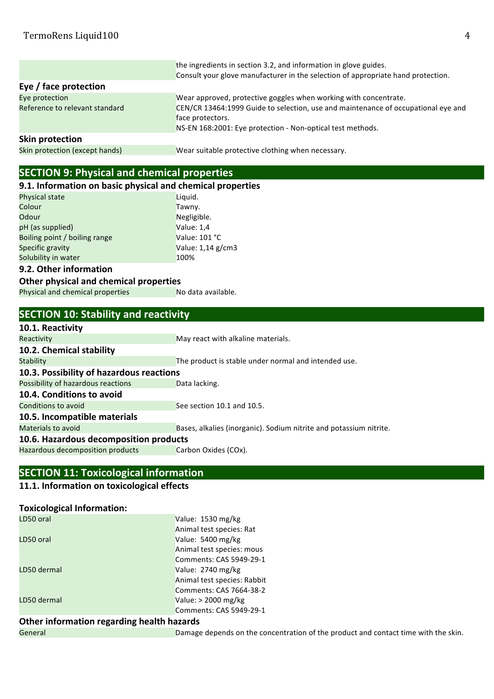|                                | the ingredients in section 3.2, and information in glove guides.                                      |
|--------------------------------|-------------------------------------------------------------------------------------------------------|
|                                | Consult your glove manufacturer in the selection of appropriate hand protection.                      |
| Eye / face protection          |                                                                                                       |
| Eye protection                 | Wear approved, protective goggles when working with concentrate.                                      |
| Reference to relevant standard | CEN/CR 13464:1999 Guide to selection, use and maintenance of occupational eye and<br>face protectors. |
|                                | NS-EN 168:2001: Eye protection - Non-optical test methods.                                            |
| <b>Skin protection</b>         |                                                                                                       |
| Skin protection (except hands) | Wear suitable protective clothing when necessary.                                                     |

### **SECTION 9: Physical and chemical properties**

| 9.1. Information on basic physical and chemical properties |                   |
|------------------------------------------------------------|-------------------|
| Physical state                                             | Liquid.           |
| Colour                                                     | Tawny.            |
| Odour                                                      | Negligible.       |
| pH (as supplied)                                           | Value: 1,4        |
| Boiling point / boiling range                              | Value: 101 °C     |
| Specific gravity                                           | Value: 1,14 g/cm3 |
| Solubility in water                                        | 100%              |
|                                                            |                   |

### **9.2. Other information**

### **Other physical and chemical properties** Physical and chemical properties No data available.

| <b>SECTION 10: Stability and reactivity</b>              |                                                                    |  |
|----------------------------------------------------------|--------------------------------------------------------------------|--|
| 10.1. Reactivity                                         |                                                                    |  |
| Reactivity                                               | May react with alkaline materials.                                 |  |
| 10.2. Chemical stability                                 |                                                                    |  |
| <b>Stability</b>                                         | The product is stable under normal and intended use.               |  |
| 10.3. Possibility of hazardous reactions                 |                                                                    |  |
|                                                          | Data lacking.                                                      |  |
| 10.4. Conditions to avoid                                |                                                                    |  |
| Conditions to avoid                                      | See section 10.1 and 10.5.                                         |  |
| 10.5. Incompatible materials                             |                                                                    |  |
|                                                          | Bases, alkalies (inorganic). Sodium nitrite and potassium nitrite. |  |
| 10.6. Hazardous decomposition products                   |                                                                    |  |
| Hazardous decomposition products                         | Carbon Oxides (COx).                                               |  |
| Possibility of hazardous reactions<br>Materials to avoid |                                                                    |  |

### **SECTION 11: Toxicological information**

### **11.1.** Information on toxicological effects

#### **Toxicological Information:**

| LD50 oral   | Value: 1530 mg/kg           |
|-------------|-----------------------------|
|             | Animal test species: Rat    |
| LD50 oral   | Value: 5400 mg/kg           |
|             | Animal test species: mous   |
|             | Comments: CAS 5949-29-1     |
| LD50 dermal | Value: 2740 mg/kg           |
|             | Animal test species: Rabbit |
|             | Comments: CAS 7664-38-2     |
| LD50 dermal | Value: $> 2000$ mg/kg       |
|             | Comments: CAS 5949-29-1     |

# **Other information regarding health hazards**<br>General Damage

Damage depends on the concentration of the product and contact time with the skin.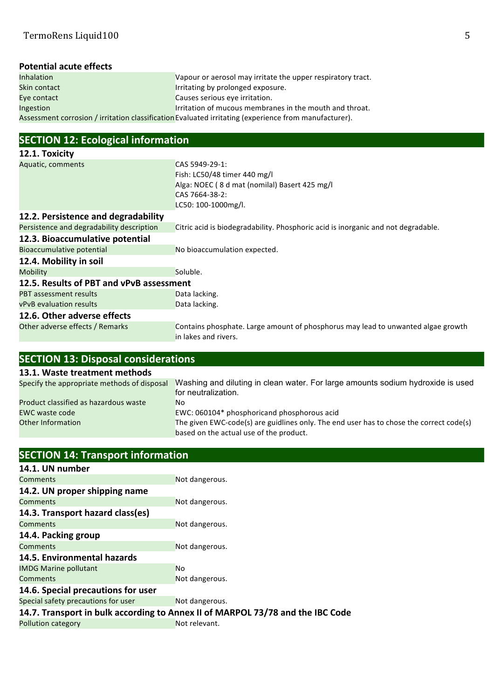# **Potential acute effects**<br>Inhalation

Vapour or aerosol may irritate the upper respiratory tract. Skin contact **Irritating** by prolonged exposure. Eye contact Causes serious eye irritation. Ingestion Irritation of mucous membranes in the mouth and throat. Assessment corrosion / irritation classification Evaluated irritating (experience from manufacturer).

### **SECTION 12: Ecological information**

| 12.1. Toxicity                            |                                                                                                          |
|-------------------------------------------|----------------------------------------------------------------------------------------------------------|
| Aquatic, comments                         | CAS 5949-29-1:                                                                                           |
|                                           | Fish: LC50/48 timer 440 mg/l                                                                             |
|                                           | Alga: NOEC (8 d mat (nomilal) Basert 425 mg/l                                                            |
|                                           | CAS 7664-38-2:                                                                                           |
|                                           | LC50: 100-1000mg/l.                                                                                      |
| 12.2. Persistence and degradability       |                                                                                                          |
| Persistence and degradability description | Citric acid is biodegradability. Phosphoric acid is inorganic and not degradable.                        |
| 12.3. Bioaccumulative potential           |                                                                                                          |
| Bioaccumulative potential                 | No bioaccumulation expected.                                                                             |
| 12.4. Mobility in soil                    |                                                                                                          |
| <b>Mobility</b>                           | Soluble.                                                                                                 |
| 12.5. Results of PBT and vPvB assessment  |                                                                                                          |
| <b>PBT</b> assessment results             | Data lacking.                                                                                            |
| <b>vPvB</b> evaluation results            | Data lacking.                                                                                            |
| 12.6. Other adverse effects               |                                                                                                          |
| Other adverse effects / Remarks           | Contains phosphate. Large amount of phosphorus may lead to unwanted algae growth<br>in lakes and rivers. |

| <b>SECTION 13: Disposal considerations</b>  |                                                                                                                                    |  |
|---------------------------------------------|------------------------------------------------------------------------------------------------------------------------------------|--|
| 13.1. Waste treatment methods               |                                                                                                                                    |  |
| Specify the appropriate methods of disposal | Washing and diluting in clean water. For large amounts sodium hydroxide is used<br>for neutralization.                             |  |
| Product classified as hazardous waste       | No.                                                                                                                                |  |
| EWC waste code                              | EWC: 060104* phosphoricand phosphorous acid                                                                                        |  |
| <b>Other Information</b>                    | The given EWC-code(s) are guidlines only. The end user has to chose the correct code(s)<br>based on the actual use of the product. |  |

| <b>SECTION 14: Transport information</b>                                       |                |  |
|--------------------------------------------------------------------------------|----------------|--|
| 14.1. UN number                                                                |                |  |
| Comments                                                                       | Not dangerous. |  |
| 14.2. UN proper shipping name                                                  |                |  |
| Comments                                                                       | Not dangerous. |  |
| 14.3. Transport hazard class(es)                                               |                |  |
| <b>Comments</b>                                                                | Not dangerous. |  |
| 14.4. Packing group                                                            |                |  |
| <b>Comments</b>                                                                | Not dangerous. |  |
| 14.5. Environmental hazards                                                    |                |  |
| <b>IMDG Marine pollutant</b>                                                   | <b>No</b>      |  |
| Comments                                                                       | Not dangerous. |  |
| 14.6. Special precautions for user                                             |                |  |
| Special safety precautions for user                                            | Not dangerous. |  |
| 14.7. Transport in bulk according to Annex II of MARPOL 73/78 and the IBC Code |                |  |
| Pollution category                                                             | Not relevant.  |  |
|                                                                                |                |  |